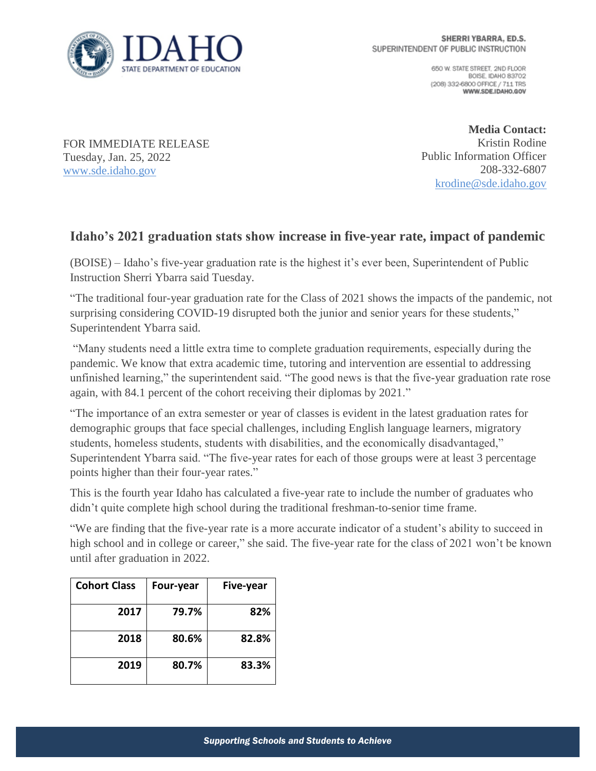

650 W. STATE STREET, 2ND FLOOR BOISE IDAHO 83702 (208) 332-6800 OFFICE / 711 TRS WWW.SDE.IDAHO.GOV

FOR IMMEDIATE RELEASE Tuesday, Jan. 25, 2022 [www.sde.idaho.gov](http://www.sde.idaho.gov/)

**Media Contact:** Kristin Rodine Public Information Officer 208-332-6807 [krodine@sde.idaho.gov](mailto:krodine@sde.idaho.gov)

## **Idaho's 2021 graduation stats show increase in five-year rate, impact of pandemic**

(BOISE) – Idaho's five-year graduation rate is the highest it's ever been, Superintendent of Public Instruction Sherri Ybarra said Tuesday.

"The traditional four-year graduation rate for the Class of 2021 shows the impacts of the pandemic, not surprising considering COVID-19 disrupted both the junior and senior years for these students," Superintendent Ybarra said.

"Many students need a little extra time to complete graduation requirements, especially during the pandemic. We know that extra academic time, tutoring and intervention are essential to addressing unfinished learning," the superintendent said. "The good news is that the five-year graduation rate rose again, with 84.1 percent of the cohort receiving their diplomas by 2021."

"The importance of an extra semester or year of classes is evident in the latest graduation rates for demographic groups that face special challenges, including English language learners, migratory students, homeless students, students with disabilities, and the economically disadvantaged," Superintendent Ybarra said. "The five-year rates for each of those groups were at least 3 percentage points higher than their four-year rates."

This is the fourth year Idaho has calculated a five-year rate to include the number of graduates who didn't quite complete high school during the traditional freshman-to-senior time frame.

"We are finding that the five-year rate is a more accurate indicator of a student's ability to succeed in high school and in college or career," she said. The five-year rate for the class of 2021 won't be known until after graduation in 2022.

| <b>Cohort Class</b> | Four-year | Five-year |
|---------------------|-----------|-----------|
| 2017                | 79.7%     | 82%       |
| 2018                | 80.6%     | 82.8%     |
| 2019                | 80.7%     | 83.3%     |